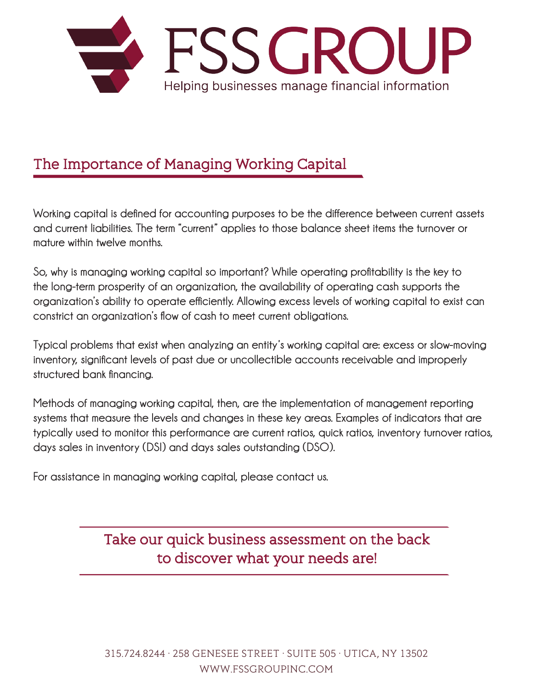

## The Importance of Managing Working Capital

**Working capital is defined for accounting purposes to be the difference between current assets and current liabilities. The term "current" applies to those balance sheet items the turnover or mature within twelve months.**

**So, why is managing working capital so important? While operating profitability is the key to the long-term prosperity of an organization, the availability of operating cash supports the organization's ability to operate efficiently. Allowing excess levels of working capital to exist can constrict an organization's flow of cash to meet current obligations.**

**Typical problems that exist when analyzing an entity's working capital are: excess or slow-moving inventory, significant levels of past due or uncollectible accounts receivable and improperly structured bank financing.**

**Methods of managing working capital, then, are the implementation of management reporting systems that measure the levels and changes in these key areas. Examples of indicators that are typically used to monitor this performance are current ratios, quick ratios, inventory turnover ratios, days sales in inventory (DSI) and days sales outstanding (DSO).** 

**For assistance in managing working capital, please contact us.** 

Take our quick business assessment on the back to discover what your needs are!